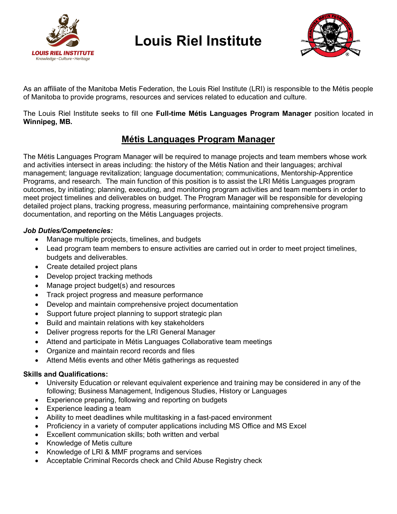

## Louis Riel Institute



As an affiliate of the Manitoba Metis Federation, the Louis Riel Institute (LRI) is responsible to the Métis people of Manitoba to provide programs, resources and services related to education and culture.

The Louis Riel Institute seeks to fill one Full-time Métis Languages Program Manager position located in Winnipeg, MB.

## Métis Languages Program Manager

The Métis Languages Program Manager will be required to manage projects and team members whose work and activities intersect in areas including: the history of the Métis Nation and their languages; archival management; language revitalization; language documentation; communications, Mentorship-Apprentice Programs, and research. The main function of this position is to assist the LRI Métis Languages program outcomes, by initiating; planning, executing, and monitoring program activities and team members in order to meet project timelines and deliverables on budget. The Program Manager will be responsible for developing detailed project plans, tracking progress, measuring performance, maintaining comprehensive program documentation, and reporting on the Métis Languages projects.

## Job Duties/Competencies:

- Manage multiple projects, timelines, and budgets
- Lead program team members to ensure activities are carried out in order to meet project timelines, budgets and deliverables.
- Create detailed project plans
- Develop project tracking methods
- Manage project budget(s) and resources
- Track project progress and measure performance
- Develop and maintain comprehensive project documentation
- Support future project planning to support strategic plan
- Build and maintain relations with key stakeholders
- Deliver progress reports for the LRI General Manager
- Attend and participate in Métis Languages Collaborative team meetings
- Organize and maintain record records and files
- Attend Métis events and other Métis gatherings as requested

## Skills and Qualifications:

- University Education or relevant equivalent experience and training may be considered in any of the following; Business Management, Indigenous Studies, History or Languages
- Experience preparing, following and reporting on budgets
- Experience leading a team
- Ability to meet deadlines while multitasking in a fast-paced environment
- Proficiency in a variety of computer applications including MS Office and MS Excel
- Excellent communication skills; both written and verbal
- Knowledge of Metis culture
- Knowledge of LRI & MMF programs and services
- Acceptable Criminal Records check and Child Abuse Registry check